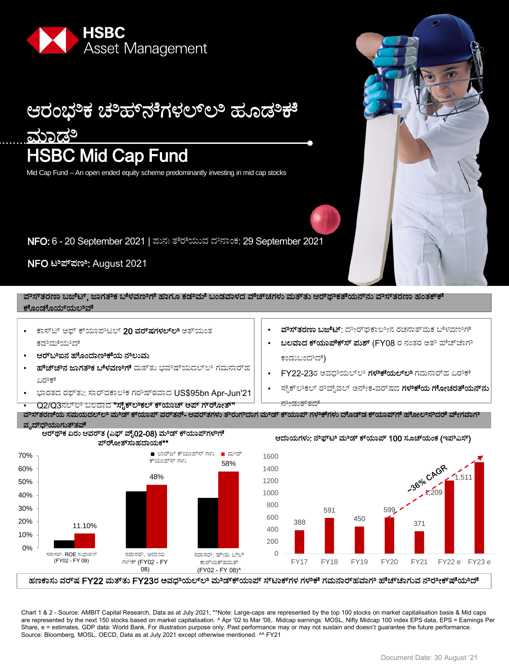



ಸೈಕ್ಲಿಕಲ್ ರೌವೈವಲ್ ಅನೇಕ-ವರ್ಷದ ಗಳಿಕೆಯ ಗೋಚರತೆಯನ್**ನು** 

- FY22-23ರ ಅವಧಿಯಲ್ಲಿ ಗಳಿಕೆಯಲ್ಲಿ ಗಮನಾರ್ಹ ಏರ<del>ೌ</del>ಕೆ
- ಕಂಡುಬಂದಿದೆ)
- ಬಲವಾದ ಕ್**ಯಾಪೆಕ್ಸ್ ಪುಶ್ (FY08** ರ ನಂತರ ಅತೌ ಹೆಚ್ಚಾಗೌ
- **ವಿಸ್ತರಣಾ ಬಜೆಟ್**: ದೇರ್ಘಕಾಲೀನ ರಚನಾತ್ಮಕ ಬಿಳವಣಿಗೆ

NFO ಟೌಣ: August 2021

ವೌಸ್ತ್ರರಣಾ ಬಜೆಟ್, ಜಾಗತೌಕ ಬಿಳವಣಿಗಿ ಹಾಗೂ ಕಡೌಮ್ ಬಂಡವಾಳದ ವೆಚ್ಚಗಳು ಮತ್ತು ಆರ್ಥೌಕತ್ಯೆಯನ್ನು ವಿಸ್ತರಣಾ ಹಂತಕ್ಕ್

- ಕೊಂಡೊಯ್ಯಲಿವ್
- ಕಾಸ್ಟ್ ಆಫ್ ಕ್**ಯಾಪಿಟಲ್ 20 ವರ್<b>ಷಗಳಲ್**ಲಿ ಅತ್ಯಂತ ಕಡಿಮುೆಯಿದೆ
- ಆರ್ $\mathfrak{w}$ ಇವ ಹೊಂದಾಣಿಕೆಯ ನೌಲುಮ
- **ಹೆೆಚ್ಚಿಿನ ಜಾಗತಿಿಕ ಬೆಳವಣಿಗಿೆ** ಮತ್ತು ಭವಿಿಷ್ಯಯದಲ್ಲಿ ಗಮನಾರ್ಹ ಏರೌಕೆ
- ಭಾರತದ ರಫ್ತು: ಸಾರ್ವಕಾಲಿಕ ಗರಿಷ್ಠರವಾದ US\$95bn Apr-Jun'21
- Q2/Q3ನಲ್ಲಿ ಬಲವಾದ "ಸೈಕ್**ಲಿಕಲ್ ಕ್**ಯಾಚ್ ಅಪ್ ಗ್**ರ್**ೋತ್"
- ನೇಡುತ್**ತದ**ೆ ವೌಸ್ತರಣಿಯ ಸಮಯದಲ್**ಲಿ ಮೌಡ್ ಕ್**ಯಾಪ್ ವರ್**ತನೆ- ಆವರ್**ತಗಳು ತೌರುಗೌದಾಗ ಮೌಡ್ ಕ್**ಯಾಪ್ ಗಳ<del>ೌಕ</del>ೆಗಳು ದೊಡ್<b>ಡ ಕ್**ಯಾಪ್ಗ್ ಹೋಲಿಸಿದರು ವೇಗವಾಗೌ





ಹಣಕಾಸು ವರ್ಇ FY22 ಮತ್ತು FY23ರ ಅವಧಿಯಲ್ಲಿ ಮೌಡ್ಕ್ರ್ಯಾಪ್ ಸ್ಟ್ರಾಕ್ಗಳ ಗಳಿತಕೆ ಗಮನಾರ್ಹವಾಗಿಿ ಹೌಚ್ಚಾಗುವ ನಿಿರೇಕ್**ಷ್**ಯಿದೆೆ

Chart 1 & 2 - Source: AMBIT Capital Research, Data as at July 2021, \*\*Note: Large-caps are represented by the top 100 stocks on market capitalisation basis & Mid caps are represented by the next 150 stocks based on market capitalisation. ^ Apr '02 to Mar '08,. Midcap earnings: MOSL, Nifty Midcap 100 index EPS data, EPS = Earnings Per Share, e = estimates, GDP data: World Bank. For illustration purpose only. Past performance may or may not sustain and doesn't guarantee the future performance. Source: Bloomberg, MOSL, OECD, Data as at July 2021 except otherwise mentioned. ^^ FY21

# HSBC Mid Cap Fund ಆರಂಭಿಕ ಚಿಿಹ್ನುೆಗಳಲ್ಲೂ ಹೂಡಿಕೆ ಮಾಡಿ

NFO: 6 - 20 September 2021 | ಼ನಃ ತೆಯೆಮ಼ ದನಹಂಔ: 29 September 2021

Mid Cap Fund – An open ended equity scheme predominantly investing in mid cap stocks

Asset Management





371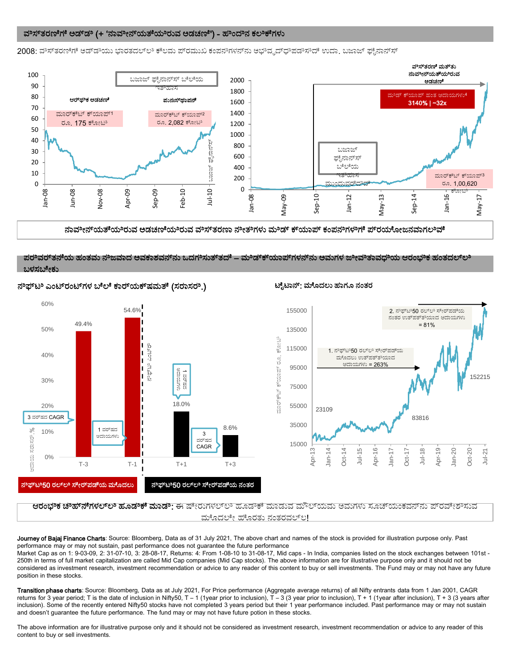#### ವೌಸ್ತರಣಿಗೆ ಅಡ್ಡಿಿ (+ 'ನಾವೀನ್ಯತಿಯಿತೆಯಿಲುವ ಅಡಚಣಿ') - ಹೌಂದಿನ ಕಲ<del>ಿ</del>ಕೆಗಳು

2008: ವೌಸ್ತರಣಿಗೆ ಅಡ್ಡಿಯು ಭಾರತದಲ್ಲಿಿ ಕೆಲಮ ಪ್ರಮುಖ ಕಂಪನಿಗಳನ್ನು ಅಭಿವೃದ್ಧಲಿಪಡಿಸಿದೆ ಉದ್ದಾ ಬಜಾಜ್ ಫೈನಾನ್ಸ್



ನಾವೀನ್ಯತೆಯೆಿರುವ ಅಡಚಣಿಯಿಿರುವ ವಿಸ್ತುತರಣಾ ನೇತಿಗಳು ಮೌಡ್ ಕ್ಯಯಾಪ್ ಕಂಪನಿಗಳುಗಿ ಪ್ರರಯೋಜನವಾಗಲಿಿವೆೆ

#### ಪರೌತರ್ತತನೆಯ ಹಂತಮ ನೌಜವಾದ ಅವಕಾಶವನ್ನು ಒದಗಿಿಸುತ್ತದೆ – ಮೌಡ್ಕ್ಯಯಾಪ್ಗಳನ್ನು ಅಮಗಳ ಜೀವಿತಾವಧಿಯ ಆರಂಭಿಕ ಹಂತದಲ್ಲಿಿ ಬಳಸಬೇಕು



#### ನೌಫ್ಟುಿ ಎಂಟ್ರ್ಂಟ್ಗಳ ಬೆಲೆ ಕಾರ್ಯುಕ್ಷಮತೆ (ಸರಾಸರೌ.) ಟೈಟಾನ್: ಮೊದಲು ಹಾಗೂ ನಂತರ



**ಆರಂಭಿಕ ಚೌಹ್ನೆಗಳಲ್ಲಲಿ ಹೂಡಿಕಕೆ ಮಾಡಿ**: ಈ ಷೇರುಗಳಲ್ಲಲಿ ಹೂಡಿಕಕೆ ಮಾಡುವ ಮೌಲ್ಯಮು ಅಮಗಳು ಸೂಚ್ಯಂಕವನ್ನು ಪ್ರವೇಶಿಸುವ ಮೊದಲೇ ಹೊರತು ನಂತರವಲ್ಲ!

Journey of Bajaj Finance Charts: Source: Bloomberg, Data as of 31 July 2021, The above chart and names of the stock is provided for illustration purpose only. Past performance may or may not sustain, past performance does not guarantee the future performance

Market Cap as on 1: 9-03-09, 2: 31-07-10, 3: 28-08-17, Returns: 4: From 1-08-10 to 31-08-17, Mid caps - In India, companies listed on the stock exchanges between 101st - 250th in terms of full market capitalization are called Mid Cap companies (Mid Cap stocks). The above information are for illustrative purpose only and it should not be considered as investment research, investment recommendation or advice to any reader of this content to buy or sell investments. The Fund may or may not have any future position in these stocks.

Transition phase charts: Source: Bloomberg, Data as at July 2021, For Price performance (Aggregate average returns) of all Nifty entrants data from 1 Jan 2001, CAGR returns for 3 year period; T is the date of inclusion in Nifty50, T - 1 (1year prior to inclusion), T - 3 (3 year prior to inclusion), T + 1 (1year after inclusion), T + 3 (3 years after inclusion). Some of the recently entered Nifty50 stocks have not completed 3 years period but their 1 year performance included. Past performance may or may not sustain and doesn't guarantee the future performance. The fund may or may not have future potion in these stocks.

The above information are for illustrative purpose only and it should not be considered as investment research, investment recommendation or advice to any reader of this content to buy or sell investments.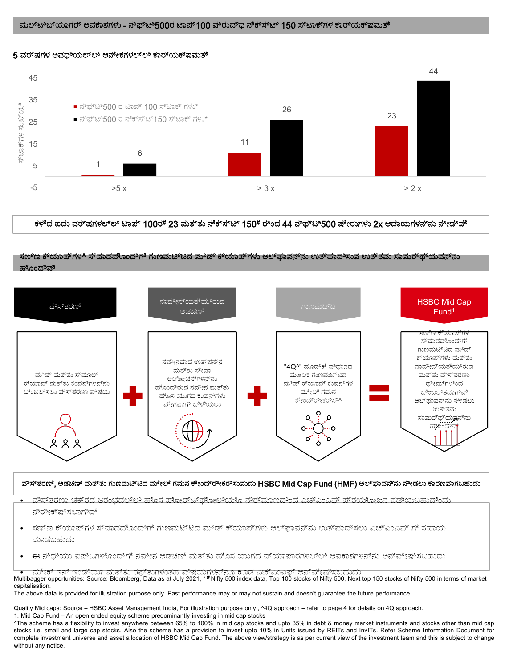### ಮಲ್ಟ್ರಿಬ್ಯಾಗರ್ ಅವಕಾಶಗಳು - ನೌಪ್ಟ್ರೌ500ರ ಟಾಪ್100 ವೌರುದ್ಧ್ ನೆರ್ಕೆಸ್ಟ್ರ್ 150 ಸ್ಟ್ರಾಕ್ಗ್ಗಳ ಕಾರ್ಯುಕ್ಷಮತ್





ಕಳೆದ ಐದು ವರ್ಷಗಳಲ್ಲಲಿ ಟಾಪ್ 100ರ# 23 ಮತ್ತು ನೆೆಕ್ಸ್ಟ್ 150# ರೌಂದ 44 ನೆಿಫ್ಟಿಿ500 ಷೇರುಗಳು 2x ಆದಾಯಗಳನ್ನು ನೇಡಿಿವೆೆ

### ಸಣ್ಣ್ ಕ್ಯ್ಯಾಪ್ಗಳ^ ಸ್ವಾದದೊಂದಿಗೆ ಗುಣಮಟ್ಟದ ಮಿಿಡ್ ಕ್ಯ್ಯಾಪ್ಗಳು ಆಲ್ಕ್ರಾವನ್ನು ಉತ್ಪಾದಾಿಸುವ ಉತ್ತಮ ಸಾಮರ್ಥ್ಯಯವನ್ನು ಹೊಂದಿವೆ



#### ವೌಸ್ತ್ರ ಶಡಚಣಿ ಮತ್ತು ಗುಣಮಟ್ಟದ ಮೇಲೆ ಗಮನ ಕೇಂದ್ರೀಕರೌಸುಮದು HSBC Mid Cap Fund (HMF) ಆಲ್∓ಾವನ್ನು ನೀಡಲು ಕಾರಣವಾಗಬಹುದು

- ಮಿಸ್ತ್ರರಣಾ ಚಕ್5ದ ಆರಂಭದಲ್**ಲ ಹೊಸ ಪೋರ್ಟ್ರ್ ಫೋಲಿಯೊ ನೌರ್**ಮಾಣದಿಂದ ಎಚ್ಎಂಎಫ್ ಪ್**ರಯೋಜನ ಪಡೆಯಬಹುದೆಂದು** ನಿರೀಕ್ಷಿಿಸಲಾಗಿದೆ
- <sub>.</sub> ಸಣ್ಣ ಕ್ಯಾಪ್ ಗಳ ಸ್ಮಾದದೊಂದಿಗೆ ಗುಣಮಟ್ಟದ ಮಿಚ್ ಕ್ಯಾಪ್ಗಳು ಆಲ್ಫಾವನ್ನು ಉತ್ಪಾದಿಸಲು ಎಚ್ಎಂಎಫ್ ಗೆ ಸಹಾಯ ಮಾಡಬಹುದು
- · ಈ ನೌಧಿಯು ಐಪೌಒಗಳೊಂದೌಗೆ ನವೀನ ಅಡಚಣಿ ಮತ್ತು ಹೊಸ ಯುಗದ ವ್ಯಾಪಾರಗಳಲ್ಲಿಿ ಅವಕಾಶಗಳನ್**ನು ಅನ್**ವೇಷಿಸಬಹುದು

່ ∙ ಮೇಕ್ ಇನ್ ಇಂಡಿಯಾ ಮತ್ತು ರಫ್ತುಗಳಂತಹ ವಿಿಷಯಗಳನ್ನೂ ಕೂಡ ಎಚ್ಎಂಎಫ್ ಅನ್ವೇಷಿಿಸಬಹುದು<br>Multibagger opportunities: Source: Bloomberg, Data as at July 2021, \*\*Nifty 500 index data, Top 100 stocks of Nifty 500, Next top 150 stocks of capitalisation.

The above data is provided for illustration purpose only. Past performance may or may not sustain and doesn't guarantee the future performance.

Quality Mid caps: Source – HSBC Asset Management India, For illustration purpose only., ^4Q approach – refer to page 4 for details on 4Q approach.

1. Mid Cap Fund – An open ended equity scheme predominantly investing in mid cap stocks ^The scheme has a flexibility to invest anywhere between 65% to 100% in mid cap stocks and upto 35% in debt & money market instruments and stocks other than mid cap stocks i.e. small and large cap stocks. Also the scheme has a provision to invest upto 10% in Units issued by REITs and InvITs. Refer Scheme Information Document for complete investment universe and asset allocation of HSBC Mid Cap Fund. The above view/strategy is as per current view of the investment team and this is subject to change

without any notice.